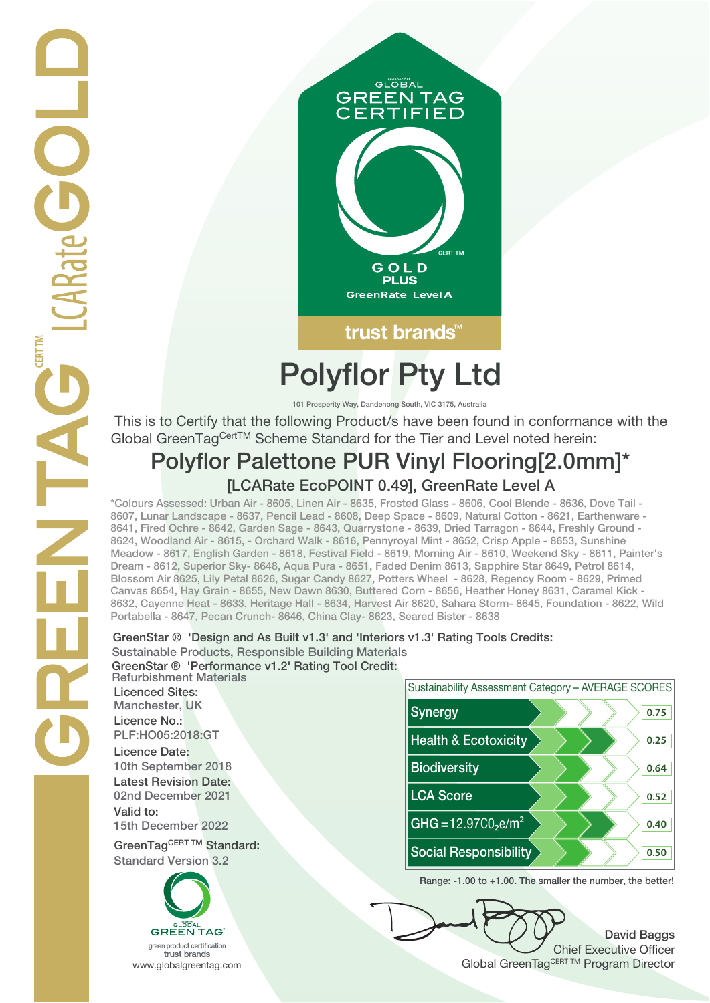

# **Polyflor Pty Ltd**

**101 Prosperity Way, Dandenong South, VIC 3175, Australia**

 This is to Certify that the following Product/s have been found in conformance with the Global GreenTagCertTM Scheme Standard for the Tier and Level noted herein:

# **Polyflor Palettone PUR Vinyl Flooring[2.0mm]\* [LCARate EcoPOINT 0.49], GreenRate Level A**

**\*Colours Assessed: Urban Air - 8605, Linen Air - 8635, Frosted Glass - 8606, Cool Blende - 8636, Dove Tail - 8607, Lunar Landscape - 8637, Pencil Lead - 8608, Deep Space - 8609, Natural Cotton - 8621, Earthenware - 8641, Fired Ochre - 8642, Garden Sage - 8643, Quarrystone - 8639, Dried Tarragon - 8644, Freshly Ground - 8624, Woodland Air - 8615, - Orchard Walk - 8616, Pennyroyal Mint - 8652, Crisp Apple - 8653, Sunshine Meadow - 8617, English Garden - 8618, Festival Field - 8619, Morning Air - 8610, Weekend Sky - 8611, Painter's Dream - 8612, Superior Sky- 8648, Aqua Pura - 8651, Faded Denim 8613, Sapphire Star 8649, Petrol 8614, Blossom Air 8625, Lily Petal 8626, Sugar Candy 8627, Potters Wheel - 8628, Regency Room - 8629, Primed Canvas 8654, Hay Grain - 8655, New Dawn 8630, Buttered Corn - 8656, Heather Honey 8631, Caramel Kick - 8632, Cayenne Heat - 8633, Heritage Hall - 8634, Harvest Air 8620, Sahara Storm- 8645, Foundation - 8622, Wild Portabella - 8647, Pecan Crunch- 8646, China Clay- 8623, Seared Bister - 8638**

### **GreenStar ® 'Design and As Built v1.3' and 'Interiors v1.3' Rating Tools Credits: Sustainable Products, Responsible Building Materials GreenStar ® 'Performance v1.2' Rating Tool Credit:**

**Refurbishment Materials Licenced Sites: Licence No.: Licence Date: Latest Revision Date: Valid to: Standard Version 3.2**





**Range: -1.00 to +1.00. The smaller the number, the better!**

**David Baggs** Chief Executive Officer WWW.globalgreentag.com **Program Director** Clobal GreenTagCERT TM Program Director